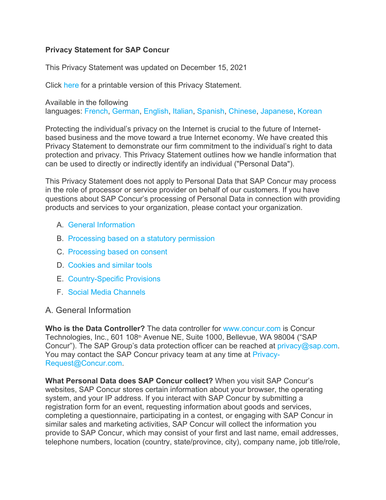### **Privacy Statement for SAP Concur**

This Privacy Statement was updated on December 15, 2021

Click here for a printable version of this Privacy Statement.

Available in the following languages: French, German, English, Italian, Spanish, Chinese, Japanese, Korean

Protecting the individual's privacy on the Internet is crucial to the future of Internetbased business and the move toward a true Internet economy. We have created this Privacy Statement to demonstrate our firm commitment to the individual's right to data protection and privacy. This Privacy Statement outlines how we handle information that can be used to directly or indirectly identify an individual ("Personal Data").

This Privacy Statement does not apply to Personal Data that SAP Concur may process in the role of processor or service provider on behalf of our customers. If you have questions about SAP Concur's processing of Personal Data in connection with providing products and services to your organization, please contact your organization.

- A. General Information
- B. Processing based on a statutory permission
- C. Processing based on consent
- D. Cookies and similar tools
- E. Country-Specific Provisions
- F. Social Media Channels

# A. General Information

**Who is the Data Controller?** The data controller for www.concur.com is Concur Technologies, Inc., 601 108<sup>th</sup> Avenue NE, Suite 1000, Bellevue, WA 98004 ("SAP Concur"). The SAP Group's data protection officer can be reached at privacy@sap.com. You may contact the SAP Concur privacy team at any time at Privacy-Request@Concur.com.

**What Personal Data does SAP Concur collect?** When you visit SAP Concur's websites, SAP Concur stores certain information about your browser, the operating system, and your IP address. If you interact with SAP Concur by submitting a registration form for an event, requesting information about goods and services, completing a questionnaire, participating in a contest, or engaging with SAP Concur in similar sales and marketing activities, SAP Concur will collect the information you provide to SAP Concur, which may consist of your first and last name, email addresses, telephone numbers, location (country, state/province, city), company name, job title/role,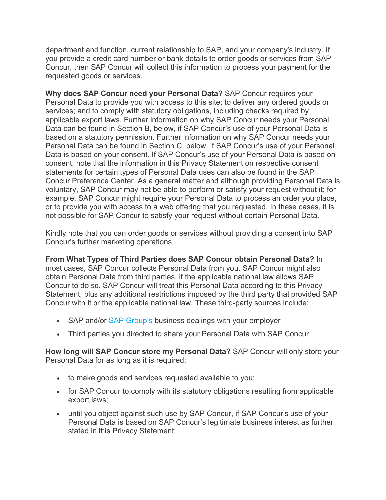department and function, current relationship to SAP, and your company's industry. If you provide a credit card number or bank details to order goods or services from SAP Concur, then SAP Concur will collect this information to process your payment for the requested goods or services.

**Why does SAP Concur need your Personal Data?** SAP Concur requires your Personal Data to provide you with access to this site; to deliver any ordered goods or services; and to comply with statutory obligations, including checks required by applicable export laws. Further information on why SAP Concur needs your Personal Data can be found in Section B, below, if SAP Concur's use of your Personal Data is based on a statutory permission. Further information on why SAP Concur needs your Personal Data can be found in Section C, below, if SAP Concur's use of your Personal Data is based on your consent. If SAP Concur's use of your Personal Data is based on consent, note that the information in this Privacy Statement on respective consent statements for certain types of Personal Data uses can also be found in the SAP Concur Preference Center. As a general matter and although providing Personal Data is voluntary, SAP Concur may not be able to perform or satisfy your request without it; for example, SAP Concur might require your Personal Data to process an order you place, or to provide you with access to a web offering that you requested. In these cases, it is not possible for SAP Concur to satisfy your request without certain Personal Data.

Kindly note that you can order goods or services without providing a consent into SAP Concur's further marketing operations.

**From What Types of Third Parties does SAP Concur obtain Personal Data?** In most cases, SAP Concur collects Personal Data from you. SAP Concur might also obtain Personal Data from third parties, if the applicable national law allows SAP Concur to do so. SAP Concur will treat this Personal Data according to this Privacy Statement, plus any additional restrictions imposed by the third party that provided SAP Concur with it or the applicable national law. These third-party sources include:

- SAP and/or SAP Group's business dealings with your employer
- Third parties you directed to share your Personal Data with SAP Concur

**How long will SAP Concur store my Personal Data?** SAP Concur will only store your Personal Data for as long as it is required:

- to make goods and services requested available to you;
- for SAP Concur to comply with its statutory obligations resulting from applicable export laws;
- until you object against such use by SAP Concur, if SAP Concur's use of your Personal Data is based on SAP Concur's legitimate business interest as further stated in this Privacy Statement;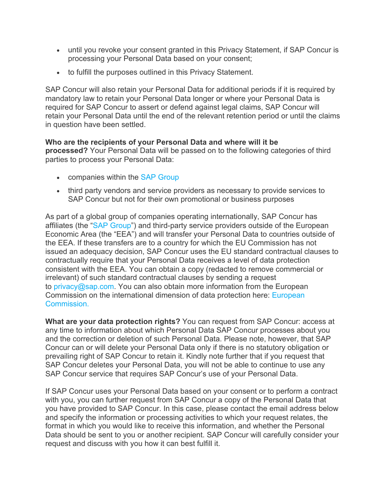- until you revoke your consent granted in this Privacy Statement, if SAP Concur is processing your Personal Data based on your consent;
- to fulfill the purposes outlined in this Privacy Statement.

SAP Concur will also retain your Personal Data for additional periods if it is required by mandatory law to retain your Personal Data longer or where your Personal Data is required for SAP Concur to assert or defend against legal claims, SAP Concur will retain your Personal Data until the end of the relevant retention period or until the claims in question have been settled.

#### **Who are the recipients of your Personal Data and where will it be processed?** Your Personal Data will be passed on to the following categories of third parties to process your Personal Data:

- companies within the SAP Group
- third party vendors and service providers as necessary to provide services to SAP Concur but not for their own promotional or business purposes

As part of a global group of companies operating internationally, SAP Concur has affiliates (the "SAP Group") and third-party service providers outside of the European Economic Area (the "EEA") and will transfer your Personal Data to countries outside of the EEA. If these transfers are to a country for which the EU Commission has not issued an adequacy decision, SAP Concur uses the EU standard contractual clauses to contractually require that your Personal Data receives a level of data protection consistent with the EEA. You can obtain a copy (redacted to remove commercial or irrelevant) of such standard contractual clauses by sending a request to privacy@sap.com. You can also obtain more information from the European Commission on the international dimension of data protection here: European **Commission** 

**What are your data protection rights?** You can request from SAP Concur: access at any time to information about which Personal Data SAP Concur processes about you and the correction or deletion of such Personal Data. Please note, however, that SAP Concur can or will delete your Personal Data only if there is no statutory obligation or prevailing right of SAP Concur to retain it. Kindly note further that if you request that SAP Concur deletes your Personal Data, you will not be able to continue to use any SAP Concur service that requires SAP Concur's use of your Personal Data.

If SAP Concur uses your Personal Data based on your consent or to perform a contract with you, you can further request from SAP Concur a copy of the Personal Data that you have provided to SAP Concur. In this case, please contact the email address below and specify the information or processing activities to which your request relates, the format in which you would like to receive this information, and whether the Personal Data should be sent to you or another recipient. SAP Concur will carefully consider your request and discuss with you how it can best fulfill it.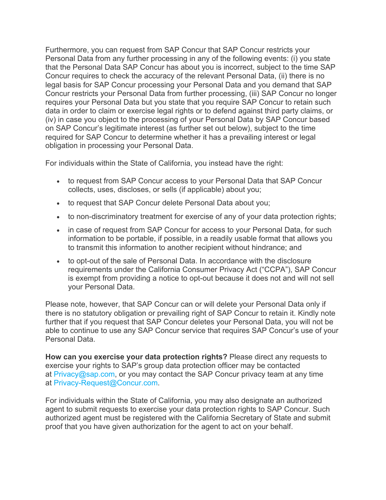Furthermore, you can request from SAP Concur that SAP Concur restricts your Personal Data from any further processing in any of the following events: (i) you state that the Personal Data SAP Concur has about you is incorrect, subject to the time SAP Concur requires to check the accuracy of the relevant Personal Data, (ii) there is no legal basis for SAP Concur processing your Personal Data and you demand that SAP Concur restricts your Personal Data from further processing, (iii) SAP Concur no longer requires your Personal Data but you state that you require SAP Concur to retain such data in order to claim or exercise legal rights or to defend against third party claims, or (iv) in case you object to the processing of your Personal Data by SAP Concur based on SAP Concur's legitimate interest (as further set out below), subject to the time required for SAP Concur to determine whether it has a prevailing interest or legal obligation in processing your Personal Data.

For individuals within the State of California, you instead have the right:

- to request from SAP Concur access to your Personal Data that SAP Concur collects, uses, discloses, or sells (if applicable) about you;
- to request that SAP Concur delete Personal Data about you;
- to non-discriminatory treatment for exercise of any of your data protection rights;
- in case of request from SAP Concur for access to your Personal Data, for such information to be portable, if possible, in a readily usable format that allows you to transmit this information to another recipient without hindrance; and
- to opt-out of the sale of Personal Data. In accordance with the disclosure requirements under the California Consumer Privacy Act ("CCPA"), SAP Concur is exempt from providing a notice to opt-out because it does not and will not sell your Personal Data.

Please note, however, that SAP Concur can or will delete your Personal Data only if there is no statutory obligation or prevailing right of SAP Concur to retain it. Kindly note further that if you request that SAP Concur deletes your Personal Data, you will not be able to continue to use any SAP Concur service that requires SAP Concur's use of your Personal Data.

**How can you exercise your data protection rights?** Please direct any requests to exercise your rights to SAP's group data protection officer may be contacted at  $Privacy@sap.com$ , or you may contact the SAP Concur privacy team at any time at Privacy-Request@Concur.com.

For individuals within the State of California, you may also designate an authorized agent to submit requests to exercise your data protection rights to SAP Concur. Such authorized agent must be registered with the California Secretary of State and submit proof that you have given authorization for the agent to act on your behalf.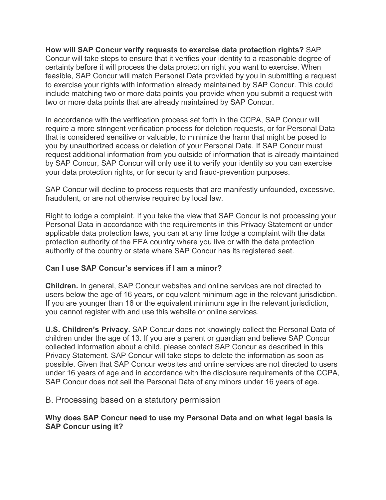**How will SAP Concur verify requests to exercise data protection rights?** SAP Concur will take steps to ensure that it verifies your identity to a reasonable degree of certainty before it will process the data protection right you want to exercise. When feasible, SAP Concur will match Personal Data provided by you in submitting a request to exercise your rights with information already maintained by SAP Concur. This could include matching two or more data points you provide when you submit a request with two or more data points that are already maintained by SAP Concur.

In accordance with the verification process set forth in the CCPA, SAP Concur will require a more stringent verification process for deletion requests, or for Personal Data that is considered sensitive or valuable, to minimize the harm that might be posed to you by unauthorized access or deletion of your Personal Data. If SAP Concur must request additional information from you outside of information that is already maintained by SAP Concur, SAP Concur will only use it to verify your identity so you can exercise your data protection rights, or for security and fraud-prevention purposes.

SAP Concur will decline to process requests that are manifestly unfounded, excessive, fraudulent, or are not otherwise required by local law.

Right to lodge a complaint. If you take the view that SAP Concur is not processing your Personal Data in accordance with the requirements in this Privacy Statement or under applicable data protection laws, you can at any time lodge a complaint with the data protection authority of the EEA country where you live or with the data protection authority of the country or state where SAP Concur has its registered seat.

# **Can I use SAP Concur's services if I am a minor?**

**Children.** In general, SAP Concur websites and online services are not directed to users below the age of 16 years, or equivalent minimum age in the relevant jurisdiction. If you are younger than 16 or the equivalent minimum age in the relevant jurisdiction, you cannot register with and use this website or online services.

**U.S. Children's Privacy.** SAP Concur does not knowingly collect the Personal Data of children under the age of 13. If you are a parent or guardian and believe SAP Concur collected information about a child, please contact SAP Concur as described in this Privacy Statement. SAP Concur will take steps to delete the information as soon as possible. Given that SAP Concur websites and online services are not directed to users under 16 years of age and in accordance with the disclosure requirements of the CCPA, SAP Concur does not sell the Personal Data of any minors under 16 years of age.

B. Processing based on a statutory permission

### **Why does SAP Concur need to use my Personal Data and on what legal basis is SAP Concur using it?**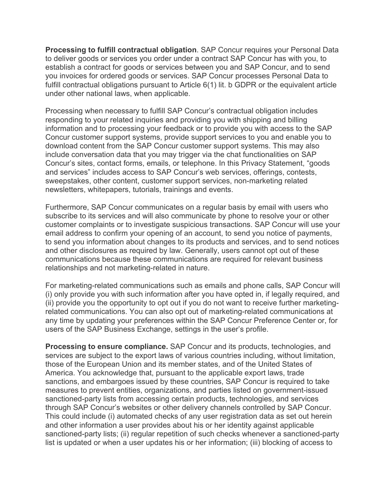**Processing to fulfill contractual obligation**. SAP Concur requires your Personal Data to deliver goods or services you order under a contract SAP Concur has with you, to establish a contract for goods or services between you and SAP Concur, and to send you invoices for ordered goods or services. SAP Concur processes Personal Data to fulfill contractual obligations pursuant to Article 6(1) lit. b GDPR or the equivalent article under other national laws, when applicable.

Processing when necessary to fulfill SAP Concur's contractual obligation includes responding to your related inquiries and providing you with shipping and billing information and to processing your feedback or to provide you with access to the SAP Concur customer support systems, provide support services to you and enable you to download content from the SAP Concur customer support systems. This may also include conversation data that you may trigger via the chat functionalities on SAP Concur's sites, contact forms, emails, or telephone. In this Privacy Statement, "goods and services" includes access to SAP Concur's web services, offerings, contests, sweepstakes, other content, customer support services, non-marketing related newsletters, whitepapers, tutorials, trainings and events.

Furthermore, SAP Concur communicates on a regular basis by email with users who subscribe to its services and will also communicate by phone to resolve your or other customer complaints or to investigate suspicious transactions. SAP Concur will use your email address to confirm your opening of an account, to send you notice of payments, to send you information about changes to its products and services, and to send notices and other disclosures as required by law. Generally, users cannot opt out of these communications because these communications are required for relevant business relationships and not marketing-related in nature.

For marketing-related communications such as emails and phone calls, SAP Concur will (i) only provide you with such information after you have opted in, if legally required, and (ii) provide you the opportunity to opt out if you do not want to receive further marketingrelated communications. You can also opt out of marketing-related communications at any time by updating your preferences within the SAP Concur Preference Center or, for users of the SAP Business Exchange, settings in the user's profile.

**Processing to ensure compliance.** SAP Concur and its products, technologies, and services are subject to the export laws of various countries including, without limitation, those of the European Union and its member states, and of the United States of America. You acknowledge that, pursuant to the applicable export laws, trade sanctions, and embargoes issued by these countries, SAP Concur is required to take measures to prevent entities, organizations, and parties listed on government-issued sanctioned-party lists from accessing certain products, technologies, and services through SAP Concur's websites or other delivery channels controlled by SAP Concur. This could include (i) automated checks of any user registration data as set out herein and other information a user provides about his or her identity against applicable sanctioned-party lists; (ii) regular repetition of such checks whenever a sanctioned-party list is updated or when a user updates his or her information; (iii) blocking of access to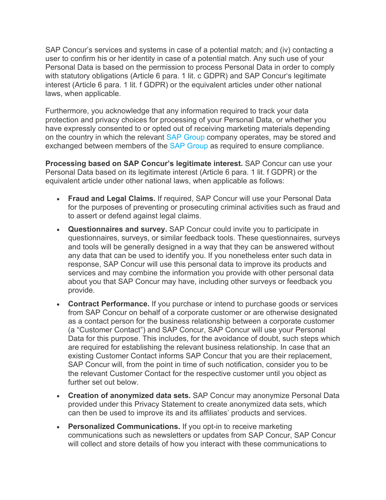SAP Concur's services and systems in case of a potential match; and (iv) contacting a user to confirm his or her identity in case of a potential match. Any such use of your Personal Data is based on the permission to process Personal Data in order to comply with statutory obligations (Article 6 para. 1 lit. c GDPR) and SAP Concur's legitimate interest (Article 6 para. 1 lit. f GDPR) or the equivalent articles under other national laws, when applicable.

Furthermore, you acknowledge that any information required to track your data protection and privacy choices for processing of your Personal Data, or whether you have expressly consented to or opted out of receiving marketing materials depending on the country in which the relevant SAP Group company operates, may be stored and exchanged between members of the SAP Group as required to ensure compliance.

**Processing based on SAP Concur's legitimate interest.** SAP Concur can use your Personal Data based on its legitimate interest (Article 6 para. 1 lit. f GDPR) or the equivalent article under other national laws, when applicable as follows:

- **Fraud and Legal Claims.** If required, SAP Concur will use your Personal Data for the purposes of preventing or prosecuting criminal activities such as fraud and to assert or defend against legal claims.
- **Questionnaires and survey.** SAP Concur could invite you to participate in questionnaires, surveys, or similar feedback tools. These questionnaires, surveys and tools will be generally designed in a way that they can be answered without any data that can be used to identify you. If you nonetheless enter such data in response, SAP Concur will use this personal data to improve its products and services and may combine the information you provide with other personal data about you that SAP Concur may have, including other surveys or feedback you provide.
- **Contract Performance.** If you purchase or intend to purchase goods or services from SAP Concur on behalf of a corporate customer or are otherwise designated as a contact person for the business relationship between a corporate customer (a "Customer Contact") and SAP Concur, SAP Concur will use your Personal Data for this purpose. This includes, for the avoidance of doubt, such steps which are required for establishing the relevant business relationship. In case that an existing Customer Contact informs SAP Concur that you are their replacement, SAP Concur will, from the point in time of such notification, consider you to be the relevant Customer Contact for the respective customer until you object as further set out below.
- **Creation of anonymized data sets.** SAP Concur may anonymize Personal Data provided under this Privacy Statement to create anonymized data sets, which can then be used to improve its and its affiliates' products and services.
- **Personalized Communications.** If you opt-in to receive marketing communications such as newsletters or updates from SAP Concur, SAP Concur will collect and store details of how you interact with these communications to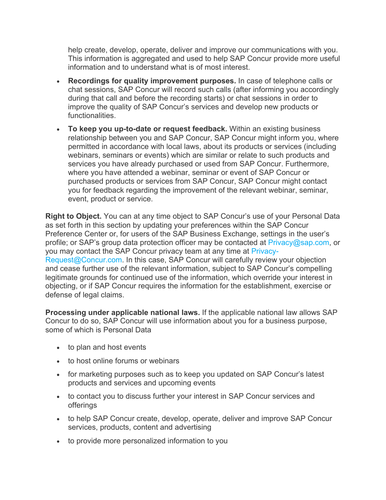help create, develop, operate, deliver and improve our communications with you. This information is aggregated and used to help SAP Concur provide more useful information and to understand what is of most interest.

- **Recordings for quality improvement purposes.** In case of telephone calls or chat sessions, SAP Concur will record such calls (after informing you accordingly during that call and before the recording starts) or chat sessions in order to improve the quality of SAP Concur's services and develop new products or functionalities.
- **To keep you up-to-date or request feedback.** Within an existing business relationship between you and SAP Concur, SAP Concur might inform you, where permitted in accordance with local laws, about its products or services (including webinars, seminars or events) which are similar or relate to such products and services you have already purchased or used from SAP Concur. Furthermore, where you have attended a webinar, seminar or event of SAP Concur or purchased products or services from SAP Concur, SAP Concur might contact you for feedback regarding the improvement of the relevant webinar, seminar, event, product or service.

**Right to Object.** You can at any time object to SAP Concur's use of your Personal Data as set forth in this section by updating your preferences within the SAP Concur Preference Center or, for users of the SAP Business Exchange, settings in the user's profile; or SAP's group data protection officer may be contacted at Privacy@sap.com, or you may contact the SAP Concur privacy team at any time at Privacy-Request@Concur.com. In this case, SAP Concur will carefully review your objection and cease further use of the relevant information, subject to SAP Concur's compelling legitimate grounds for continued use of the information, which override your interest in objecting, or if SAP Concur requires the information for the establishment, exercise or defense of legal claims.

**Processing under applicable national laws.** If the applicable national law allows SAP Concur to do so, SAP Concur will use information about you for a business purpose, some of which is Personal Data

- to plan and host events
- to host online forums or webinars
- for marketing purposes such as to keep you updated on SAP Concur's latest products and services and upcoming events
- to contact you to discuss further your interest in SAP Concur services and offerings
- to help SAP Concur create, develop, operate, deliver and improve SAP Concur services, products, content and advertising
- to provide more personalized information to you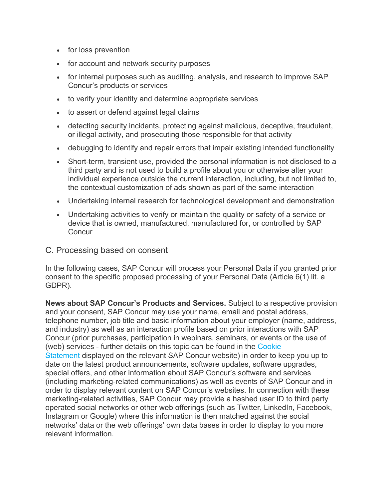- for loss prevention
- for account and network security purposes
- for internal purposes such as auditing, analysis, and research to improve SAP Concur's products or services
- to verify your identity and determine appropriate services
- to assert or defend against legal claims
- detecting security incidents, protecting against malicious, deceptive, fraudulent, or illegal activity, and prosecuting those responsible for that activity
- debugging to identify and repair errors that impair existing intended functionality
- Short-term, transient use, provided the personal information is not disclosed to a third party and is not used to build a profile about you or otherwise alter your individual experience outside the current interaction, including, but not limited to, the contextual customization of ads shown as part of the same interaction
- Undertaking internal research for technological development and demonstration
- Undertaking activities to verify or maintain the quality or safety of a service or device that is owned, manufactured, manufactured for, or controlled by SAP **Concur**
- C. Processing based on consent

In the following cases, SAP Concur will process your Personal Data if you granted prior consent to the specific proposed processing of your Personal Data (Article 6(1) lit. a GDPR).

**News about SAP Concur's Products and Services.** Subject to a respective provision and your consent, SAP Concur may use your name, email and postal address, telephone number, job title and basic information about your employer (name, address, and industry) as well as an interaction profile based on prior interactions with SAP Concur (prior purchases, participation in webinars, seminars, or events or the use of (web) services - further details on this topic can be found in the Cookie Statement displayed on the relevant SAP Concur website) in order to keep you up to date on the latest product announcements, software updates, software upgrades, special offers, and other information about SAP Concur's software and services (including marketing-related communications) as well as events of SAP Concur and in order to display relevant content on SAP Concur's websites. In connection with these marketing-related activities, SAP Concur may provide a hashed user ID to third party operated social networks or other web offerings (such as Twitter, LinkedIn, Facebook, Instagram or Google) where this information is then matched against the social networks' data or the web offerings' own data bases in order to display to you more relevant information.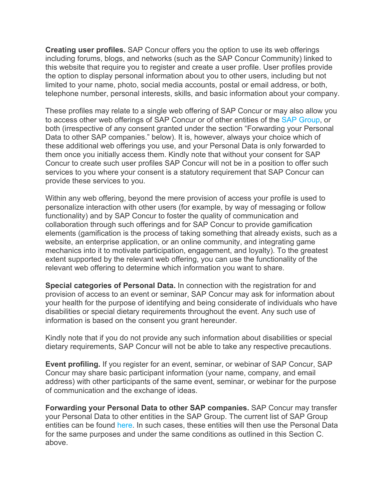**Creating user profiles.** SAP Concur offers you the option to use its web offerings including forums, blogs, and networks (such as the SAP Concur Community) linked to this website that require you to register and create a user profile. User profiles provide the option to display personal information about you to other users, including but not limited to your name, photo, social media accounts, postal or email address, or both, telephone number, personal interests, skills, and basic information about your company.

These profiles may relate to a single web offering of SAP Concur or may also allow you to access other web offerings of SAP Concur or of other entities of the SAP Group, or both (irrespective of any consent granted under the section "Forwarding your Personal Data to other SAP companies." below). It is, however, always your choice which of these additional web offerings you use, and your Personal Data is only forwarded to them once you initially access them. Kindly note that without your consent for SAP Concur to create such user profiles SAP Concur will not be in a position to offer such services to you where your consent is a statutory requirement that SAP Concur can provide these services to you.

Within any web offering, beyond the mere provision of access your profile is used to personalize interaction with other users (for example, by way of messaging or follow functionality) and by SAP Concur to foster the quality of communication and collaboration through such offerings and for SAP Concur to provide gamification elements (gamification is the process of taking something that already exists, such as a website, an enterprise application, or an online community, and integrating game mechanics into it to motivate participation, engagement, and loyalty). To the greatest extent supported by the relevant web offering, you can use the functionality of the relevant web offering to determine which information you want to share.

**Special categories of Personal Data.** In connection with the registration for and provision of access to an event or seminar, SAP Concur may ask for information about your health for the purpose of identifying and being considerate of individuals who have disabilities or special dietary requirements throughout the event. Any such use of information is based on the consent you grant hereunder.

Kindly note that if you do not provide any such information about disabilities or special dietary requirements, SAP Concur will not be able to take any respective precautions.

**Event profiling.** If you register for an event, seminar, or webinar of SAP Concur, SAP Concur may share basic participant information (your name, company, and email address) with other participants of the same event, seminar, or webinar for the purpose of communication and the exchange of ideas.

**Forwarding your Personal Data to other SAP companies.** SAP Concur may transfer your Personal Data to other entities in the SAP Group. The current list of SAP Group entities can be found here. In such cases, these entities will then use the Personal Data for the same purposes and under the same conditions as outlined in this Section C. above.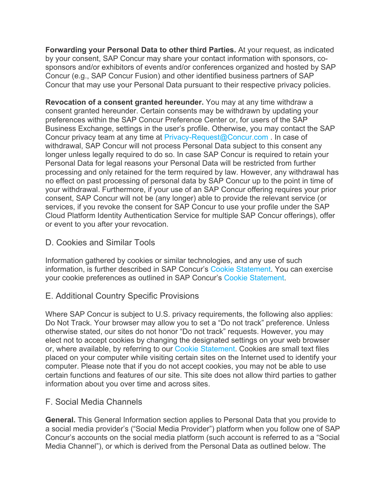**Forwarding your Personal Data to other third Parties.** At your request, as indicated by your consent, SAP Concur may share your contact information with sponsors, cosponsors and/or exhibitors of events and/or conferences organized and hosted by SAP Concur (e.g., SAP Concur Fusion) and other identified business partners of SAP Concur that may use your Personal Data pursuant to their respective privacy policies.

**Revocation of a consent granted hereunder.** You may at any time withdraw a consent granted hereunder. Certain consents may be withdrawn by updating your preferences within the SAP Concur Preference Center or, for users of the SAP Business Exchange, settings in the user's profile. Otherwise, you may contact the SAP Concur privacy team at any time at Privacy-Request@Concur.com . In case of withdrawal, SAP Concur will not process Personal Data subject to this consent any longer unless legally required to do so. In case SAP Concur is required to retain your Personal Data for legal reasons your Personal Data will be restricted from further processing and only retained for the term required by law. However, any withdrawal has no effect on past processing of personal data by SAP Concur up to the point in time of your withdrawal. Furthermore, if your use of an SAP Concur offering requires your prior consent, SAP Concur will not be (any longer) able to provide the relevant service (or services, if you revoke the consent for SAP Concur to use your profile under the SAP Cloud Platform Identity Authentication Service for multiple SAP Concur offerings), offer or event to you after your revocation.

# D. Cookies and Similar Tools

Information gathered by cookies or similar technologies, and any use of such information, is further described in SAP Concur's Cookie Statement. You can exercise your cookie preferences as outlined in SAP Concur's Cookie Statement.

# E. Additional Country Specific Provisions

Where SAP Concur is subject to U.S. privacy requirements, the following also applies: Do Not Track. Your browser may allow you to set a "Do not track" preference. Unless otherwise stated, our sites do not honor "Do not track" requests. However, you may elect not to accept cookies by changing the designated settings on your web browser or, where available, by referring to our Cookie Statement. Cookies are small text files placed on your computer while visiting certain sites on the Internet used to identify your computer. Please note that if you do not accept cookies, you may not be able to use certain functions and features of our site. This site does not allow third parties to gather information about you over time and across sites.

# F. Social Media Channels

**General.** This General Information section applies to Personal Data that you provide to a social media provider's ("Social Media Provider") platform when you follow one of SAP Concur's accounts on the social media platform (such account is referred to as a "Social Media Channel"), or which is derived from the Personal Data as outlined below. The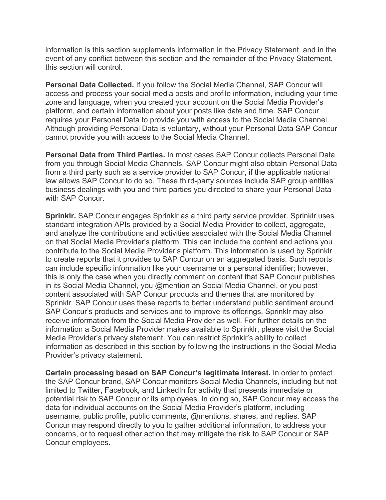information is this section supplements information in the Privacy Statement, and in the event of any conflict between this section and the remainder of the Privacy Statement, this section will control.

**Personal Data Collected.** If you follow the Social Media Channel, SAP Concur will access and process your social media posts and profile information, including your time zone and language, when you created your account on the Social Media Provider's platform, and certain information about your posts like date and time. SAP Concur requires your Personal Data to provide you with access to the Social Media Channel. Although providing Personal Data is voluntary, without your Personal Data SAP Concur cannot provide you with access to the Social Media Channel.

**Personal Data from Third Parties.** In most cases SAP Concur collects Personal Data from you through Social Media Channels. SAP Concur might also obtain Personal Data from a third party such as a service provider to SAP Concur, if the applicable national law allows SAP Concur to do so. These third-party sources include SAP group entities' business dealings with you and third parties you directed to share your Personal Data with SAP Concur.

**Sprinklr.** SAP Concur engages Sprinklr as a third party service provider. Sprinklr uses standard integration APIs provided by a Social Media Provider to collect, aggregate, and analyze the contributions and activities associated with the Social Media Channel on that Social Media Provider's platform. This can include the content and actions you contribute to the Social Media Provider's platform. This information is used by Sprinklr to create reports that it provides to SAP Concur on an aggregated basis. Such reports can include specific information like your username or a personal identifier; however, this is only the case when you directly comment on content that SAP Concur publishes in its Social Media Channel, you @mention an Social Media Channel, or you post content associated with SAP Concur products and themes that are monitored by Sprinklr. SAP Concur uses these reports to better understand public sentiment around SAP Concur's products and services and to improve its offerings. Sprinklr may also receive information from the Social Media Provider as well. For further details on the information a Social Media Provider makes available to Sprinklr, please visit the Social Media Provider's privacy statement. You can restrict Sprinklr's ability to collect information as described in this section by following the instructions in the Social Media Provider's privacy statement.

**Certain processing based on SAP Concur's legitimate interest.** In order to protect the SAP Concur brand, SAP Concur monitors Social Media Channels, including but not limited to Twitter, Facebook, and LinkedIn for activity that presents immediate or potential risk to SAP Concur or its employees. In doing so, SAP Concur may access the data for individual accounts on the Social Media Provider's platform, including username, public profile, public comments, @mentions, shares, and replies. SAP Concur may respond directly to you to gather additional information, to address your concerns, or to request other action that may mitigate the risk to SAP Concur or SAP Concur employees.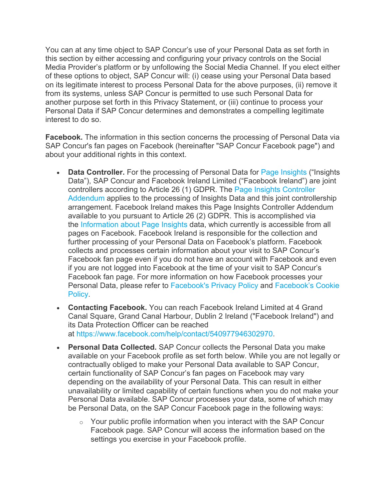You can at any time object to SAP Concur's use of your Personal Data as set forth in this section by either accessing and configuring your privacy controls on the Social Media Provider's platform or by unfollowing the Social Media Channel. If you elect either of these options to object, SAP Concur will: (i) cease using your Personal Data based on its legitimate interest to process Personal Data for the above purposes, (ii) remove it from its systems, unless SAP Concur is permitted to use such Personal Data for another purpose set forth in this Privacy Statement, or (iii) continue to process your Personal Data if SAP Concur determines and demonstrates a compelling legitimate interest to do so.

**Facebook.** The information in this section concerns the processing of Personal Data via SAP Concur's fan pages on Facebook (hereinafter "SAP Concur Facebook page") and about your additional rights in this context.

- **Data Controller.** For the processing of Personal Data for Page Insights ("Insights") Data"), SAP Concur and Facebook Ireland Limited ("Facebook Ireland") are joint controllers according to Article 26 (1) GDPR. The Page Insights Controller Addendum applies to the processing of Insights Data and this joint controllership arrangement. Facebook Ireland makes this Page Insights Controller Addendum available to you pursuant to Article 26 (2) GDPR. This is accomplished via the Information about Page Insights data, which currently is accessible from all pages on Facebook. Facebook Ireland is responsible for the collection and further processing of your Personal Data on Facebook's platform. Facebook collects and processes certain information about your visit to SAP Concur's Facebook fan page even if you do not have an account with Facebook and even if you are not logged into Facebook at the time of your visit to SAP Concur's Facebook fan page. For more information on how Facebook processes your Personal Data, please refer to Facebook's Privacy Policy and Facebook's Cookie Policy.
- **Contacting Facebook.** You can reach Facebook Ireland Limited at 4 Grand Canal Square, Grand Canal Harbour, Dublin 2 Ireland ("Facebook Ireland") and its Data Protection Officer can be reached at https://www.facebook.com/help/contact/540977946302970.
- **Personal Data Collected.** SAP Concur collects the Personal Data you make available on your Facebook profile as set forth below. While you are not legally or contractually obliged to make your Personal Data available to SAP Concur, certain functionality of SAP Concur's fan pages on Facebook may vary depending on the availability of your Personal Data. This can result in either unavailability or limited capability of certain functions when you do not make your Personal Data available. SAP Concur processes your data, some of which may be Personal Data, on the SAP Concur Facebook page in the following ways:
	- o Your public profile information when you interact with the SAP Concur Facebook page. SAP Concur will access the information based on the settings you exercise in your Facebook profile.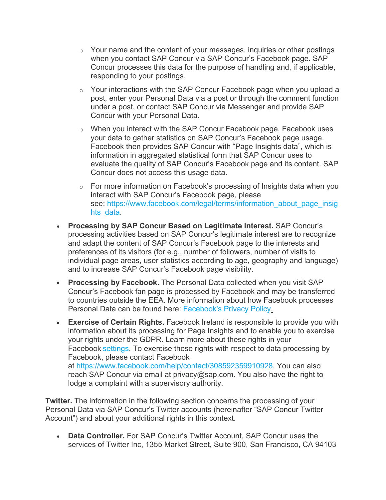- $\circ$  Your name and the content of your messages, inquiries or other postings when you contact SAP Concur via SAP Concur's Facebook page. SAP Concur processes this data for the purpose of handling and, if applicable, responding to your postings.
- $\circ$  Your interactions with the SAP Concur Facebook page when you upload a post, enter your Personal Data via a post or through the comment function under a post, or contact SAP Concur via Messenger and provide SAP Concur with your Personal Data.
- o When you interact with the SAP Concur Facebook page, Facebook uses your data to gather statistics on SAP Concur's Facebook page usage. Facebook then provides SAP Concur with "Page Insights data", which is information in aggregated statistical form that SAP Concur uses to evaluate the quality of SAP Concur's Facebook page and its content. SAP Concur does not access this usage data.
- $\circ$  For more information on Facebook's processing of Insights data when you interact with SAP Concur's Facebook page, please see: https://www.facebook.com/legal/terms/information\_about\_page\_insig hts data.
- **Processing by SAP Concur Based on Legitimate Interest.** SAP Concur's processing activities based on SAP Concur's legitimate interest are to recognize and adapt the content of SAP Concur's Facebook page to the interests and preferences of its visitors (for e.g., number of followers, number of visits to individual page areas, user statistics according to age, geography and language) and to increase SAP Concur's Facebook page visibility.
- **Processing by Facebook.** The Personal Data collected when you visit SAP Concur's Facebook fan page is processed by Facebook and may be transferred to countries outside the EEA. More information about how Facebook processes Personal Data can be found here: Facebook's Privacy Policy.
- **Exercise of Certain Rights.** Facebook Ireland is responsible to provide you with information about its processing for Page Insights and to enable you to exercise your rights under the GDPR. Learn more about these rights in your Facebook settings. To exercise these rights with respect to data processing by Facebook, please contact Facebook at https://www.facebook.com/help/contact/308592359910928. You can also reach SAP Concur via email at privacy@sap.com. You also have the right to lodge a complaint with a supervisory authority.

**Twitter.** The information in the following section concerns the processing of your Personal Data via SAP Concur's Twitter accounts (hereinafter "SAP Concur Twitter Account") and about your additional rights in this context.

• **Data Controller.** For SAP Concur's Twitter Account, SAP Concur uses the services of Twitter Inc, 1355 Market Street, Suite 900, San Francisco, CA 94103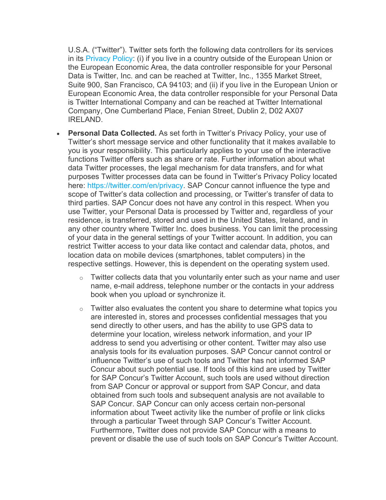U.S.A. ("Twitter"). Twitter sets forth the following data controllers for its services in its Privacy Policy: (i) if you live in a country outside of the European Union or the European Economic Area, the data controller responsible for your Personal Data is Twitter, Inc. and can be reached at Twitter, Inc., 1355 Market Street, Suite 900, San Francisco, CA 94103; and (ii) if you live in the European Union or European Economic Area, the data controller responsible for your Personal Data is Twitter International Company and can be reached at Twitter International Company, One Cumberland Place, Fenian Street, Dublin 2, D02 AX07 IRELAND.

- **Personal Data Collected.** As set forth in Twitter's Privacy Policy, your use of Twitter's short message service and other functionality that it makes available to you is your responsibility. This particularly applies to your use of the interactive functions Twitter offers such as share or rate. Further information about what data Twitter processes, the legal mechanism for data transfers, and for what purposes Twitter processes data can be found in Twitter's Privacy Policy located here: https://twitter.com/en/privacy. SAP Concur cannot influence the type and scope of Twitter's data collection and processing, or Twitter's transfer of data to third parties. SAP Concur does not have any control in this respect. When you use Twitter, your Personal Data is processed by Twitter and, regardless of your residence, is transferred, stored and used in the United States, Ireland, and in any other country where Twitter Inc. does business. You can limit the processing of your data in the general settings of your Twitter account. In addition, you can restrict Twitter access to your data like contact and calendar data, photos, and location data on mobile devices (smartphones, tablet computers) in the respective settings. However, this is dependent on the operating system used.
	- $\circ$  Twitter collects data that you voluntarily enter such as your name and user name, e-mail address, telephone number or the contacts in your address book when you upload or synchronize it.
	- $\circ$  Twitter also evaluates the content you share to determine what topics you are interested in, stores and processes confidential messages that you send directly to other users, and has the ability to use GPS data to determine your location, wireless network information, and your IP address to send you advertising or other content. Twitter may also use analysis tools for its evaluation purposes. SAP Concur cannot control or influence Twitter's use of such tools and Twitter has not informed SAP Concur about such potential use. If tools of this kind are used by Twitter for SAP Concur's Twitter Account, such tools are used without direction from SAP Concur or approval or support from SAP Concur, and data obtained from such tools and subsequent analysis are not available to SAP Concur. SAP Concur can only access certain non-personal information about Tweet activity like the number of profile or link clicks through a particular Tweet through SAP Concur's Twitter Account. Furthermore, Twitter does not provide SAP Concur with a means to prevent or disable the use of such tools on SAP Concur's Twitter Account.